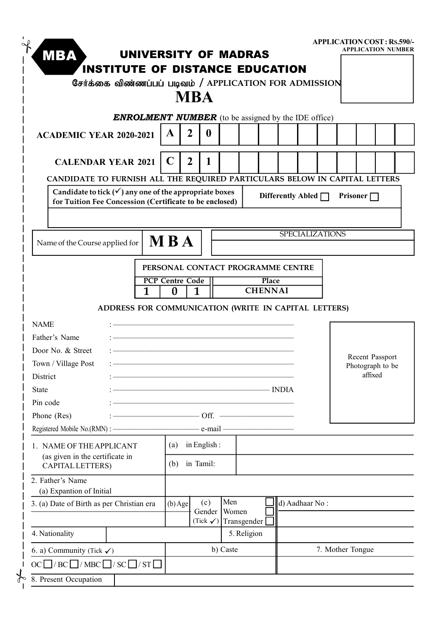| <b>MBA</b>                                                                 |                                                        |   |                                    | UNIVERSITY OF MADRAS                                       |          |             |                |       |                          |                  |                 | <b>APPLICATION COST: RS.590/-</b><br><b>APPLICATION NUMBER</b> |  |
|----------------------------------------------------------------------------|--------------------------------------------------------|---|------------------------------------|------------------------------------------------------------|----------|-------------|----------------|-------|--------------------------|------------------|-----------------|----------------------------------------------------------------|--|
|                                                                            | <b>INSTITUTE OF DISTANCE EDUCATION</b>                 |   |                                    |                                                            |          |             |                |       |                          |                  |                 |                                                                |  |
|                                                                            | சேர்க்கை விண்ணப்பப் படிவம் / APPLICATION FOR ADMISSION |   |                                    |                                                            |          |             |                |       |                          |                  |                 |                                                                |  |
|                                                                            |                                                        |   |                                    | <b>MBA</b>                                                 |          |             |                |       |                          |                  |                 |                                                                |  |
|                                                                            |                                                        |   |                                    |                                                            |          |             |                |       |                          |                  |                 |                                                                |  |
|                                                                            |                                                        |   |                                    | <b>ENROLMENT NUMBER</b> (to be assigned by the IDE office) |          |             |                |       |                          |                  |                 |                                                                |  |
| <b>ACADEMIC YEAR 2020-2021</b>                                             |                                                        |   | A                                  | $\overline{2}$<br>$\boldsymbol{0}$                         |          |             |                |       |                          |                  |                 |                                                                |  |
|                                                                            |                                                        |   |                                    |                                                            |          |             |                |       |                          |                  |                 |                                                                |  |
| <b>CALENDAR YEAR 2021</b>                                                  |                                                        |   | $\mathbf C$                        | $\overline{2}$<br>1                                        |          |             |                |       |                          |                  |                 |                                                                |  |
| CANDIDATE TO FURNISH ALL THE REQUIRED PARTICULARS BELOW IN CAPITAL LETTERS |                                                        |   |                                    |                                                            |          |             |                |       |                          |                  |                 |                                                                |  |
| Candidate to tick $(\checkmark)$ any one of the appropriate boxes          |                                                        |   |                                    |                                                            |          |             |                |       | Differently Abled $\Box$ |                  | Prisoner $\Box$ |                                                                |  |
| for Tuition Fee Concession (Certificate to be enclosed)                    |                                                        |   |                                    |                                                            |          |             |                |       |                          |                  |                 |                                                                |  |
|                                                                            |                                                        |   |                                    |                                                            |          |             |                |       |                          |                  |                 |                                                                |  |
|                                                                            |                                                        |   |                                    |                                                            |          |             |                |       | <b>SPECIALIZATIONS</b>   |                  |                 |                                                                |  |
| Name of the Course applied for                                             |                                                        |   | <b>MBA</b>                         |                                                            |          |             |                |       |                          |                  |                 |                                                                |  |
|                                                                            |                                                        |   |                                    |                                                            |          |             |                |       |                          |                  |                 |                                                                |  |
|                                                                            |                                                        |   |                                    | PERSONAL CONTACT PROGRAMME CENTRE                          |          |             |                |       |                          |                  |                 |                                                                |  |
|                                                                            |                                                        | 1 | <b>PCP Centre Code</b><br>$\bf{0}$ | $\mathbf{1}$                                               |          |             | <b>CHENNAI</b> | Place |                          |                  |                 |                                                                |  |
|                                                                            |                                                        |   |                                    |                                                            |          |             |                |       |                          |                  |                 |                                                                |  |
|                                                                            | ADDRESS FOR COMMUNICATION (WRITE IN CAPITAL LETTERS)   |   |                                    |                                                            |          |             |                |       |                          |                  |                 |                                                                |  |
| <b>NAME</b>                                                                |                                                        |   |                                    |                                                            |          |             |                |       |                          |                  |                 |                                                                |  |
| Father's Name                                                              |                                                        |   |                                    |                                                            |          |             |                |       |                          |                  |                 |                                                                |  |
| Door No. & Street                                                          |                                                        |   |                                    |                                                            |          |             |                |       |                          |                  |                 | Recent Passport                                                |  |
| Town / Village Post                                                        |                                                        |   |                                    |                                                            |          |             |                |       |                          |                  |                 | Photograph to be                                               |  |
| District                                                                   |                                                        |   |                                    |                                                            |          |             |                |       |                          |                  | affixed         |                                                                |  |
| <b>State</b>                                                               |                                                        |   |                                    | $\overline{\phantom{a}}$ INDIA                             |          |             |                |       |                          |                  |                 |                                                                |  |
| Pin code                                                                   |                                                        |   |                                    | <u> 1989 - Johann Barbara, markatski politik (</u>         |          |             |                |       |                          |                  |                 |                                                                |  |
| Phone (Res)                                                                |                                                        |   |                                    | $\overline{\phantom{a}}$ Off. $\overline{\phantom{a}}$     |          |             |                |       |                          |                  |                 |                                                                |  |
|                                                                            |                                                        |   |                                    |                                                            |          |             |                |       |                          |                  |                 |                                                                |  |
| 1. NAME OF THE APPLICANT                                                   |                                                        |   | (a)                                | in English:                                                |          |             |                |       |                          |                  |                 |                                                                |  |
| (as given in the certificate in                                            |                                                        |   |                                    | in Tamil:                                                  |          |             |                |       |                          |                  |                 |                                                                |  |
| <b>CAPITAL LETTERS)</b>                                                    |                                                        |   | (b)                                |                                                            |          |             |                |       |                          |                  |                 |                                                                |  |
| 2. Father's Name                                                           |                                                        |   |                                    |                                                            |          |             |                |       |                          |                  |                 |                                                                |  |
| (a) Expantion of Initial                                                   |                                                        |   |                                    | (c)                                                        | Men      |             |                |       | d) Aadhaar No:           |                  |                 |                                                                |  |
| 3. (a) Date of Birth as per Christian era                                  |                                                        |   | $(b)$ Age                          | Gender                                                     |          | Women       |                |       |                          |                  |                 |                                                                |  |
|                                                                            |                                                        |   |                                    | (Tick $\checkmark$ )                                       |          | Transgender |                |       |                          |                  |                 |                                                                |  |
| 4. Nationality                                                             |                                                        |   |                                    |                                                            |          | 5. Religion |                |       |                          |                  |                 |                                                                |  |
|                                                                            |                                                        |   |                                    |                                                            | b) Caste |             |                |       |                          | 7. Mother Tongue |                 |                                                                |  |
| 6. a) Community (Tick $\checkmark$ )                                       |                                                        |   |                                    |                                                            |          |             |                |       |                          |                  |                 |                                                                |  |
| $OC \Box / BC \Box / MBC \Box / SC \Box / ST \Box$                         |                                                        |   |                                    |                                                            |          |             |                |       |                          |                  |                 |                                                                |  |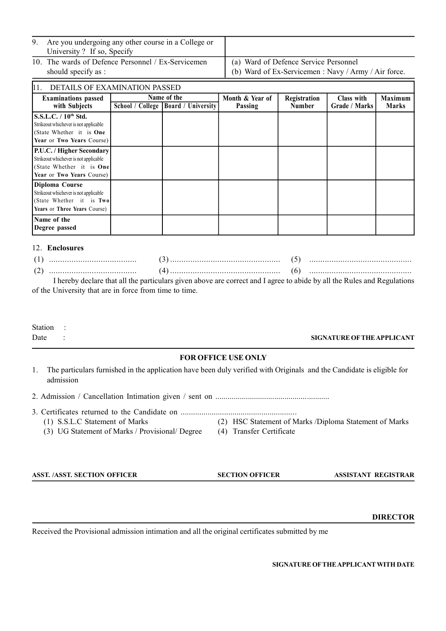| Are you undergoing any other course in a College or<br>University? If so, Specify |                                                                                               |
|-----------------------------------------------------------------------------------|-----------------------------------------------------------------------------------------------|
| 10. The wards of Defence Personnel / Ex-Servicemen<br>should specify as :         | (a) Ward of Defence Service Personnel<br>(b) Ward of Ex-Servicemen : Navy / Army / Air force. |

| 11.<br>DETAILS OF EXAMINATION PASSED                                                                                                      |  |                                                      |                            |                               |                             |                                |  |  |  |  |
|-------------------------------------------------------------------------------------------------------------------------------------------|--|------------------------------------------------------|----------------------------|-------------------------------|-----------------------------|--------------------------------|--|--|--|--|
| <b>Examinations</b> passed<br>with Subjects                                                                                               |  | Name of the<br>School / College   Board / University | Month & Year of<br>Passing | Registration<br><b>Number</b> | Class with<br>Grade / Marks | <b>Maximum</b><br><b>Marks</b> |  |  |  |  |
| S.S.L.C. / 10 <sup>th</sup> Std.<br>Strikeout whichever is not applicable<br>(State Whether it is <b>One</b><br>Year or Two Years Course) |  |                                                      |                            |                               |                             |                                |  |  |  |  |
| P.U.C. / Higher Secondary<br>Strikeout whichever is not applicable<br>(State Whether it is <b>One</b><br>Year or Two Years Course)        |  |                                                      |                            |                               |                             |                                |  |  |  |  |
| Diploma Course<br>Strikeout whichever is not applicable<br>(State Whether it is Two<br>Years or Three Years Course)                       |  |                                                      |                            |                               |                             |                                |  |  |  |  |
| Name of the<br>Degree passed                                                                                                              |  |                                                      |                            |                               |                             |                                |  |  |  |  |

#### 12. **Enclosures**

|  | Lhereby declare that all the particulars given above are correct and Lagree to abide by all the Rules and Regulation |  |
|--|----------------------------------------------------------------------------------------------------------------------|--|

I hereby declare that all the particulars given above are correct and I agree to abide by all the Rules and Regulations of the University that are in force from time to time.

# Station :

### Date : **SIGNATURE OF THE APPLICANT**

#### **FOR OFFICE USE ONLY**

1. The particulars furnished in the application have been duly verified with Originals and the Candidate is eligible for admission

2. Admission / Cancellation Intimation given / sent on ........................................................

3. Certificates returned to the Candidate on ........................................................

(3) UG Statement of Marks / Provisional/ Degree (4) Transfer Certificate

- (1) S.S.L.C Statement of Marks (2) HSC Statement of Marks /Diploma Statement of Marks
	-

**ASST. /ASST. SECTION OFFICER SECTION OFFICER ASSISTANT REGISTRAR**

 **DIRECTOR**

Received the Provisional admission intimation and all the original certificates submitted by me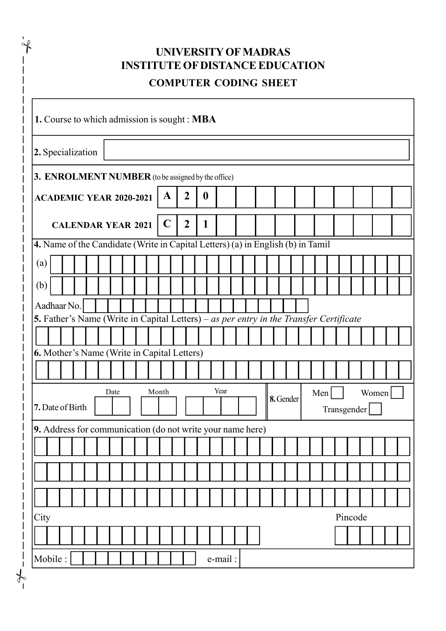|                                                                                        |  |      | <b>INSTITUTE OF DISTANCE EDUCATION</b> |       |             | UNIVERSITY OF MADRAS<br><b>COMPUTER CODING SHEET</b> |                  |         |  |  |  |  |                  |  |  |  |  |             |  |  |  |  |  |  |
|----------------------------------------------------------------------------------------|--|------|----------------------------------------|-------|-------------|------------------------------------------------------|------------------|---------|--|--|--|--|------------------|--|--|--|--|-------------|--|--|--|--|--|--|
| 1. Course to which admission is sought : MBA                                           |  |      |                                        |       |             |                                                      |                  |         |  |  |  |  |                  |  |  |  |  |             |  |  |  |  |  |  |
| 2. Specialization                                                                      |  |      |                                        |       |             |                                                      |                  |         |  |  |  |  |                  |  |  |  |  |             |  |  |  |  |  |  |
| 3. ENROLMENT NUMBER (to be assigned by the office)                                     |  |      |                                        |       |             |                                                      |                  |         |  |  |  |  |                  |  |  |  |  |             |  |  |  |  |  |  |
| <b>ACADEMIC YEAR 2020-2021</b>                                                         |  |      |                                        |       | A           | $\overline{2}$                                       | $\boldsymbol{0}$ |         |  |  |  |  |                  |  |  |  |  |             |  |  |  |  |  |  |
| <b>CALENDAR YEAR 2021</b>                                                              |  |      |                                        |       | $\mathbf C$ | $\boldsymbol{2}$                                     | 1                |         |  |  |  |  |                  |  |  |  |  |             |  |  |  |  |  |  |
| 4. Name of the Candidate (Write in Capital Letters) (a) in English (b) in Tamil        |  |      |                                        |       |             |                                                      |                  |         |  |  |  |  |                  |  |  |  |  |             |  |  |  |  |  |  |
| (a)                                                                                    |  |      |                                        |       |             |                                                      |                  |         |  |  |  |  |                  |  |  |  |  |             |  |  |  |  |  |  |
| (b)                                                                                    |  |      |                                        |       |             |                                                      |                  |         |  |  |  |  |                  |  |  |  |  |             |  |  |  |  |  |  |
| Aadhaar No.                                                                            |  |      |                                        |       |             |                                                      |                  |         |  |  |  |  |                  |  |  |  |  |             |  |  |  |  |  |  |
| 5. Father's Name (Write in Capital Letters) – as per entry in the Transfer Certificate |  |      |                                        |       |             |                                                      |                  |         |  |  |  |  |                  |  |  |  |  |             |  |  |  |  |  |  |
|                                                                                        |  |      |                                        |       |             |                                                      |                  |         |  |  |  |  |                  |  |  |  |  |             |  |  |  |  |  |  |
| 6. Mother's Name (Write in Capital Letters)                                            |  |      |                                        |       |             |                                                      |                  |         |  |  |  |  |                  |  |  |  |  |             |  |  |  |  |  |  |
|                                                                                        |  |      |                                        |       |             |                                                      |                  |         |  |  |  |  |                  |  |  |  |  |             |  |  |  |  |  |  |
|                                                                                        |  | Date |                                        | Month |             |                                                      | Year             |         |  |  |  |  | Men<br>8. Gender |  |  |  |  | Women       |  |  |  |  |  |  |
| 7. Date of Birth                                                                       |  |      |                                        |       |             |                                                      |                  |         |  |  |  |  |                  |  |  |  |  | Transgender |  |  |  |  |  |  |
| 9. Address for communication (do not write your name here)                             |  |      |                                        |       |             |                                                      |                  |         |  |  |  |  |                  |  |  |  |  |             |  |  |  |  |  |  |
|                                                                                        |  |      |                                        |       |             |                                                      |                  |         |  |  |  |  |                  |  |  |  |  |             |  |  |  |  |  |  |
|                                                                                        |  |      |                                        |       |             |                                                      |                  |         |  |  |  |  |                  |  |  |  |  |             |  |  |  |  |  |  |
|                                                                                        |  |      |                                        |       |             |                                                      |                  |         |  |  |  |  |                  |  |  |  |  |             |  |  |  |  |  |  |
| City                                                                                   |  |      |                                        |       |             |                                                      |                  |         |  |  |  |  |                  |  |  |  |  | Pincode     |  |  |  |  |  |  |
|                                                                                        |  |      |                                        |       |             |                                                      |                  |         |  |  |  |  |                  |  |  |  |  |             |  |  |  |  |  |  |
| Mobile:                                                                                |  |      |                                        |       |             |                                                      |                  | e-mail: |  |  |  |  |                  |  |  |  |  |             |  |  |  |  |  |  |

 $\frac{1}{\sqrt{2}}$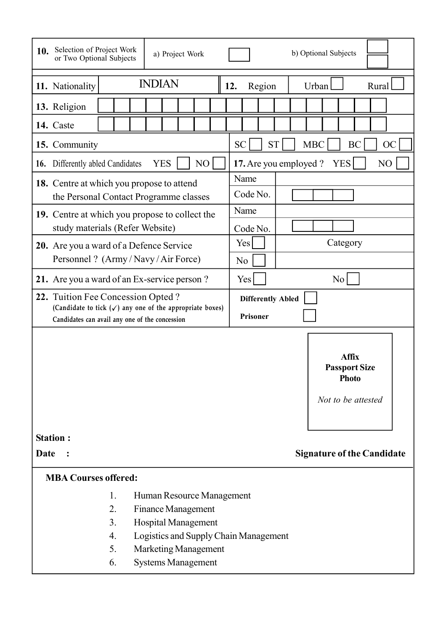| Selection of Project Work<br>10.<br>or Two Optional Subjects                                                                                                                                                                                |               | a) Project Work | b) Optional Subjects                       |                                                                            |  |  |  |  |  |  |  |  |
|---------------------------------------------------------------------------------------------------------------------------------------------------------------------------------------------------------------------------------------------|---------------|-----------------|--------------------------------------------|----------------------------------------------------------------------------|--|--|--|--|--|--|--|--|
| 11. Nationality                                                                                                                                                                                                                             | <b>INDIAN</b> |                 | 12.<br>Region                              | Urban  <br>Rural                                                           |  |  |  |  |  |  |  |  |
| 13. Religion                                                                                                                                                                                                                                |               |                 |                                            |                                                                            |  |  |  |  |  |  |  |  |
| 14. Caste                                                                                                                                                                                                                                   |               |                 |                                            |                                                                            |  |  |  |  |  |  |  |  |
| 15. Community                                                                                                                                                                                                                               |               |                 | <b>ST</b><br><b>SC</b>                     | <b>MBC</b><br><b>BC</b><br><b>OC</b>                                       |  |  |  |  |  |  |  |  |
| Differently abled Candidates<br>16.                                                                                                                                                                                                         | <b>YES</b>    | NO              | 17. Are you employed ?<br><b>YES</b><br>NO |                                                                            |  |  |  |  |  |  |  |  |
| <b>18.</b> Centre at which you propose to attend<br>the Personal Contact Programme classes                                                                                                                                                  |               |                 | Name<br>Code No.                           |                                                                            |  |  |  |  |  |  |  |  |
| 19. Centre at which you propose to collect the                                                                                                                                                                                              |               |                 | Name                                       |                                                                            |  |  |  |  |  |  |  |  |
| study materials (Refer Website)                                                                                                                                                                                                             |               |                 | Code No.                                   |                                                                            |  |  |  |  |  |  |  |  |
| 20. Are you a ward of a Defence Service<br>Personnel ? (Army/Navy/Air Force)                                                                                                                                                                |               |                 | Yes<br>N <sub>0</sub>                      | Category                                                                   |  |  |  |  |  |  |  |  |
| 21. Are you a ward of an Ex-service person?                                                                                                                                                                                                 |               |                 | Yes<br>N <sub>0</sub>                      |                                                                            |  |  |  |  |  |  |  |  |
| 22. Tuition Fee Concession Opted?                                                                                                                                                                                                           |               |                 | <b>Differently Abled</b>                   |                                                                            |  |  |  |  |  |  |  |  |
| (Candidate to tick $(\checkmark)$ any one of the appropriate boxes)<br>Candidates can avail any one of the concession                                                                                                                       |               |                 | Prisoner                                   |                                                                            |  |  |  |  |  |  |  |  |
|                                                                                                                                                                                                                                             |               |                 |                                            | <b>Affix</b><br><b>Passport Size</b><br><b>Photo</b><br>Not to be attested |  |  |  |  |  |  |  |  |
| <b>Station:</b>                                                                                                                                                                                                                             |               |                 |                                            |                                                                            |  |  |  |  |  |  |  |  |
| Date                                                                                                                                                                                                                                        |               |                 |                                            | <b>Signature of the Candidate</b>                                          |  |  |  |  |  |  |  |  |
| <b>MBA Courses offered:</b>                                                                                                                                                                                                                 |               |                 |                                            |                                                                            |  |  |  |  |  |  |  |  |
| 1.<br>Human Resource Management<br>2.<br><b>Finance Management</b><br>3.<br><b>Hospital Management</b><br>$\overline{4}$ .<br>Logistics and Supply Chain Management<br>5.<br><b>Marketing Management</b><br>6.<br><b>Systems Management</b> |               |                 |                                            |                                                                            |  |  |  |  |  |  |  |  |